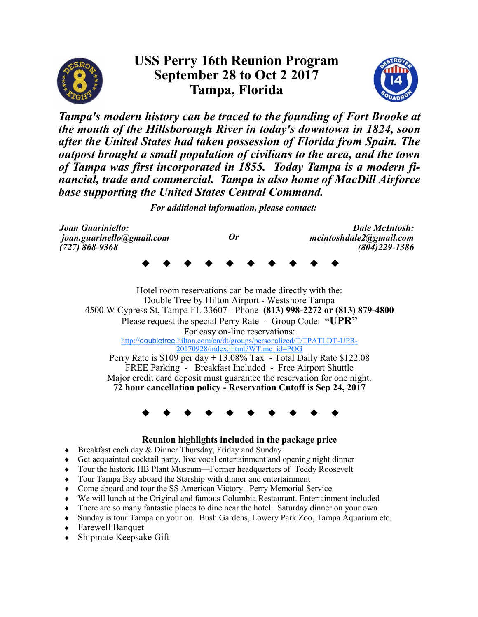

## **USS Perry 16th Reunion Program September 28 to Oct 2 2017 Tampa, Florida**



*Tampa's modern history can be traced to the founding of Fort Brooke at the mouth of the Hillsborough River in today's downtown in 1824, soon after the United States had taken possession of Florida from Spain. The outpost brought a small population of civilians to the area, and the town of Tampa was first incorporated in 1855. Today Tampa is a modern financial, trade and commercial. Tampa is also home of MacDill Airforce base supporting the United States Central Command.*

*For additional information, please contact:*

*Joan Guariniello: joan.guarinello@gmail.com (727) 868-9368*

*Or*

*Dale McIntosh: mcintoshdale2@gmail.com (804)229-1386*

Hotel room reservations can be made directly with the: Double Tree by Hilton Airport - Westshore Tampa 4500 W Cypress St, Tampa FL 33607 - Phone **(813) 998-2272 or (813) 879-4800** Please request the special Perry Rate - Group Code: **"UPR"**  For easy on-line reservations: http://doubletree[.hilton.com/en/dt/groups/personalized/T/TPATLDT](http://doubletree.hilton.com/en/dt/groups/personalized/T/TPATLDT-UPR-20170928/index.jhtml?WT.mc_id=POG)-UPR-[20170928/index.jhtml?WT.mc\\_id=POG](http://doubletree.hilton.com/en/dt/groups/personalized/T/TPATLDT-UPR-20170928/index.jhtml?WT.mc_id=POG) Perry Rate is \$109 per day + 13.08% Tax - Total Daily Rate \$122.08 FREE Parking - Breakfast Included - Free Airport Shuttle Major credit card deposit must guarantee the reservation for one night. **72 hour cancellation policy - Reservation Cutoff is Sep 24, 2017**



## **Reunion highlights included in the package price**

- Breakfast each day & Dinner Thursday, Friday and Sunday
- Get acquainted cocktail party, live vocal entertainment and opening night dinner
- Tour the historic HB Plant Museum—Former headquarters of Teddy Roosevelt
- Tour Tampa Bay aboard the Starship with dinner and entertainment
- Come aboard and tour the SS American Victory. Perry Memorial Service
- We will lunch at the Original and famous Columbia Restaurant. Entertainment included
- There are so many fantastic places to dine near the hotel. Saturday dinner on your own
- Sunday is tour Tampa on your on. Bush Gardens, Lowery Park Zoo, Tampa Aquarium etc.
- Farewell Banquet
- Shipmate Keepsake Gift